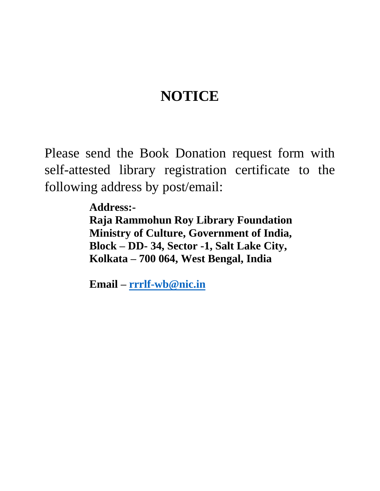## **NOTICE**

Please send the Book Donation request form with self-attested library registration certificate to the following address by post/email:

> **Address:- Raja Rammohun Roy Library Foundation Ministry of Culture, Government of India, Block – DD- 34, Sector -1, Salt Lake City, Kolkata – 700 064, West Bengal, India**

**Email – [rrrlf-wb@nic.in](mailto:rrrlf-wb@nic.in)**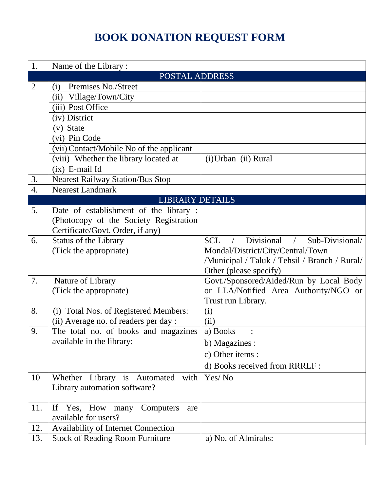## **BOOK DONATION REQUEST FORM**

| 1.             | Name of the Library:                     |                                                           |  |
|----------------|------------------------------------------|-----------------------------------------------------------|--|
| POSTAL ADDRESS |                                          |                                                           |  |
| 2              | Premises No./Street<br>(i)               |                                                           |  |
|                | (ii) Village/Town/City                   |                                                           |  |
|                | (iii) Post Office                        |                                                           |  |
|                | (iv) District                            |                                                           |  |
|                | (v) State                                |                                                           |  |
|                | (vi) Pin Code                            |                                                           |  |
|                | (vii) Contact/Mobile No of the applicant |                                                           |  |
|                | (viii) Whether the library located at    | (i) Urban (ii) Rural                                      |  |
|                | $(ix)$ E-mail Id                         |                                                           |  |
| 3.             | <b>Nearest Railway Station/Bus Stop</b>  |                                                           |  |
| 4.             | <b>Nearest Landmark</b>                  |                                                           |  |
|                | <b>LIBRARY DETAILS</b>                   |                                                           |  |
| 5.             | Date of establishment of the library:    |                                                           |  |
|                | (Photocopy of the Society Registration   |                                                           |  |
|                | Certificate/Govt. Order, if any)         |                                                           |  |
| 6.             | <b>Status of the Library</b>             | Divisional<br>Sub-Divisional/<br><b>SCL</b><br>$\sqrt{2}$ |  |
|                | (Tick the appropriate)                   | Mondal/District/City/Central/Town                         |  |
|                |                                          | /Municipal / Taluk / Tehsil / Branch / Rural/             |  |
|                |                                          | Other (please specify)                                    |  |
| 7.             | Nature of Library                        | Govt./Sponsored/Aided/Run by Local Body                   |  |
|                | (Tick the appropriate)                   | or LLA/Notified Area Authority/NGO or                     |  |
|                |                                          | Trust run Library.                                        |  |
| 8.             | (i) Total Nos. of Registered Members:    | (i)                                                       |  |
|                | (ii) Average no. of readers per day :    | (ii)                                                      |  |
| 9.             | The total no. of books and magazines     | a) Books                                                  |  |
|                | available in the library:                | b) Magazines :                                            |  |
|                |                                          | c) Other items :                                          |  |
|                |                                          | d) Books received from RRRLF :                            |  |
| 10             | Whether Library is Automated with        | Yes/No                                                    |  |
|                | Library automation software?             |                                                           |  |
|                |                                          |                                                           |  |
| 11.            | Yes, How many<br>Computers<br>If<br>are  |                                                           |  |
|                | available for users?                     |                                                           |  |
| 12.            | Availability of Internet Connection      |                                                           |  |
| 13.            | <b>Stock of Reading Room Furniture</b>   | a) No. of Almirahs:                                       |  |